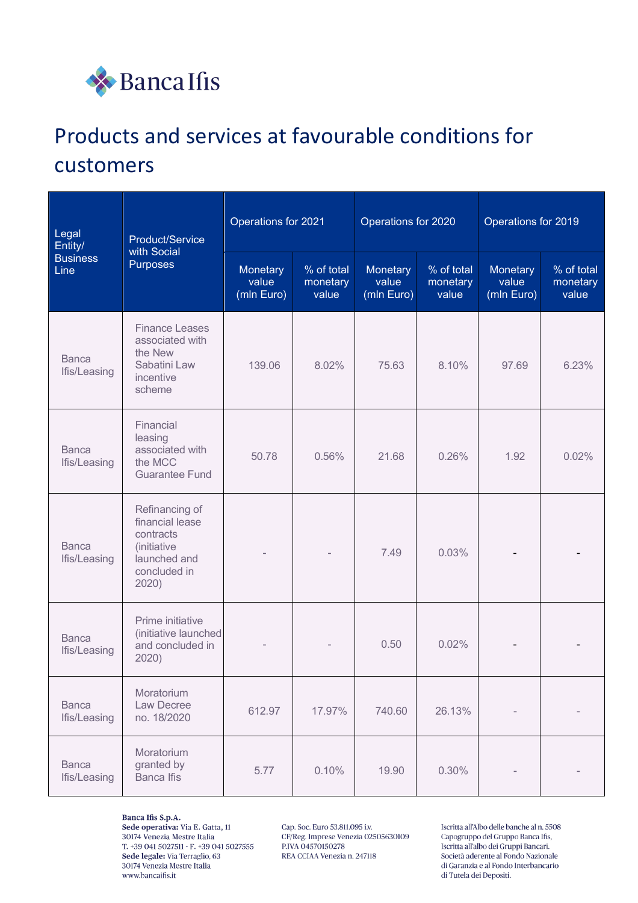

## Products and services at favourable conditions for customers

| Legal<br>Entity/<br><b>Business</b><br>Line | Product/Service<br>with Social<br><b>Purposes</b>                                                      | Operations for 2021             |                                 | Operations for 2020             |                                 | Operations for 2019             |                                 |
|---------------------------------------------|--------------------------------------------------------------------------------------------------------|---------------------------------|---------------------------------|---------------------------------|---------------------------------|---------------------------------|---------------------------------|
|                                             |                                                                                                        | Monetary<br>value<br>(mln Euro) | % of total<br>monetary<br>value | Monetary<br>value<br>(mln Euro) | % of total<br>monetary<br>value | Monetary<br>value<br>(mln Euro) | % of total<br>monetary<br>value |
| <b>Banca</b><br>Ifis/Leasing                | <b>Finance Leases</b><br>associated with<br>the New<br>Sabatini Law<br>incentive<br>scheme             | 139.06                          | 8.02%                           | 75.63                           | 8.10%                           | 97.69                           | 6.23%                           |
| <b>Banca</b><br>Ifis/Leasing                | Financial<br>leasing<br>associated with<br>the MCC<br><b>Guarantee Fund</b>                            | 50.78                           | 0.56%                           | 21.68                           | 0.26%                           | 1.92                            | 0.02%                           |
| <b>Banca</b><br>Ifis/Leasing                | Refinancing of<br>financial lease<br>contracts<br>(initiative<br>launched and<br>concluded in<br>2020) |                                 |                                 | 7.49                            | 0.03%                           |                                 |                                 |
| <b>Banca</b><br>Ifis/Leasing                | Prime initiative<br>(initiative launched<br>and concluded in<br>2020)                                  |                                 |                                 | 0.50                            | 0.02%                           |                                 |                                 |
| <b>Banca</b><br>Ifis/Leasing                | Moratorium<br>Law Decree<br>no. 18/2020                                                                | 612.97                          | 17.97%                          | 740.60                          | 26.13%                          |                                 |                                 |
| <b>Banca</b><br>Ifis/Leasing                | Moratorium<br>granted by<br><b>Banca Ifis</b>                                                          | 5.77                            | 0.10%                           | 19.90                           | 0.30%                           |                                 |                                 |

Banca Ifis S.p.A. Sede operativa: Via E. Gatta, 11 30174 Venezia Mestre Italia T. +39 041 5027511 - F. +39 041 5027555 Sede legale: Via Terraglio, 63 30174 Venezia Mestre Italia www.bancaifis.it

Cap. Soc. Euro 53.811.095 i.v. CF/Reg. Imprese Venezia 02505630109 P.IVA 04570150278 REA CCIAA Venezia n. 247118

Iscritta all'Albo delle banche al n. 5508 Capogruppo del Gruppo Banca Ifis, Iscritta all'albo dei Gruppi Bancari. Società aderente al Fondo Nazionale di Garanzia e al Fondo Interbancario di Tutela dei Depositi.